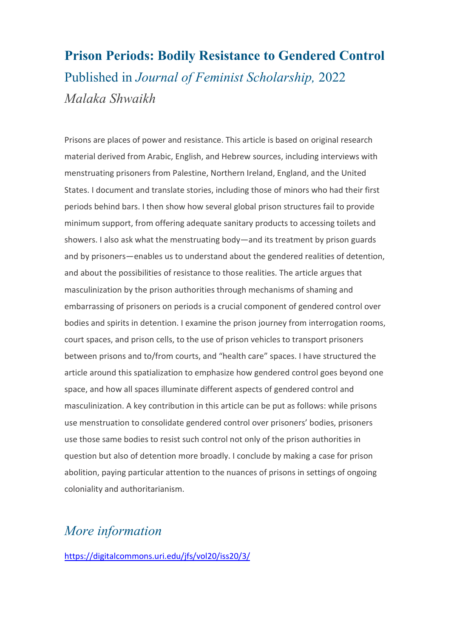## **Prison Periods: Bodily Resistance to Gendered Control** Published in *Journal of Feminist Scholarship,* 2022 *Malaka Shwaikh*

Prisons are places of power and resistance. This article is based on original research material derived from Arabic, English, and Hebrew sources, including interviews with menstruating prisoners from Palestine, Northern Ireland, England, and the United States. I document and translate stories, including those of minors who had their first periods behind bars. I then show how several global prison structures fail to provide minimum support, from offering adequate sanitary products to accessing toilets and showers. I also ask what the menstruating body—and its treatment by prison guards and by prisoners—enables us to understand about the gendered realities of detention, and about the possibilities of resistance to those realities. The article argues that masculinization by the prison authorities through mechanisms of shaming and embarrassing of prisoners on periods is a crucial component of gendered control over bodies and spirits in detention. I examine the prison journey from interrogation rooms, court spaces, and prison cells, to the use of prison vehicles to transport prisoners between prisons and to/from courts, and "health care" spaces. I have structured the article around this spatialization to emphasize how gendered control goes beyond one space, and how all spaces illuminate different aspects of gendered control and masculinization. A key contribution in this article can be put as follows: while prisons use menstruation to consolidate gendered control over prisoners' bodies, prisoners use those same bodies to resist such control not only of the prison authorities in question but also of detention more broadly. I conclude by making a case for prison abolition, paying particular attention to the nuances of prisons in settings of ongoing coloniality and authoritarianism.

## *More information*

<https://digitalcommons.uri.edu/jfs/vol20/iss20/3/>